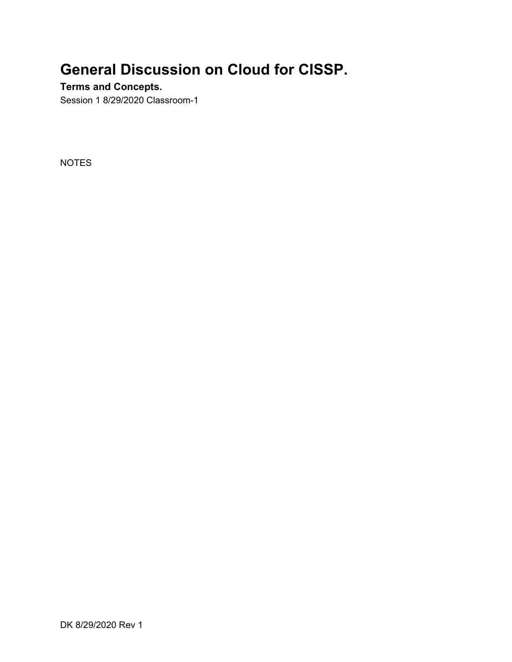## **General Discussion on Cloud for CISSP.**

#### **Terms and Concepts.**

Session 1 8/29/2020 Classroom-1

NOTES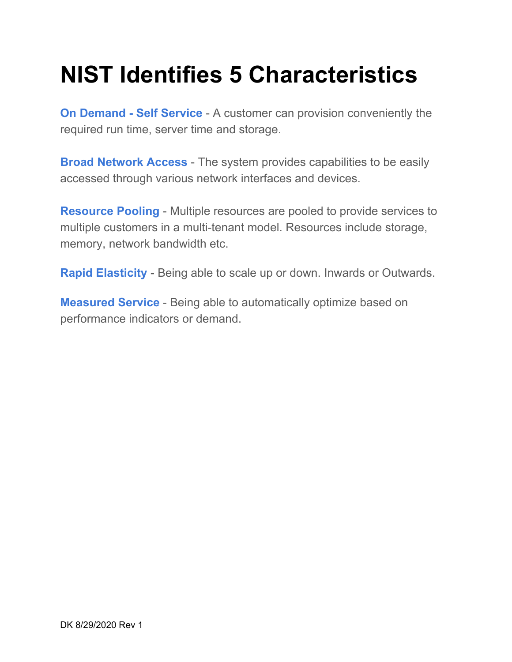# **NIST Identifies 5 Characteristics**

**On Demand - Self Service** - A customer can provision conveniently the required run time, server time and storage.

**Broad Network Access** - The system provides capabilities to be easily accessed through various network interfaces and devices.

**Resource Pooling** - Multiple resources are pooled to provide services to multiple customers in a multi-tenant model. Resources include storage, memory, network bandwidth etc.

**Rapid Elasticity** - Being able to scale up or down. Inwards or Outwards.

**Measured Service** - Being able to automatically optimize based on performance indicators or demand.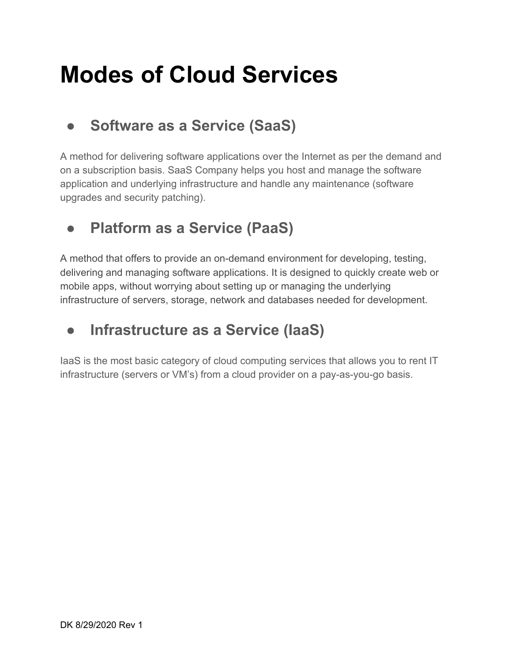## **Modes of Cloud Services**

## ● **Software as a Service (SaaS)**

A method for delivering software applications over the Internet as per the demand and on a subscription basis. SaaS Company helps you host and manage the software application and underlying infrastructure and handle any maintenance (software upgrades and security patching).

## ● **Platform as a Service (PaaS)**

A method that offers to provide an on-demand environment for developing, testing, delivering and managing software applications. It is designed to quickly create web or mobile apps, without worrying about setting up or managing the underlying infrastructure of servers, storage, network and databases needed for development.

## ● **Infrastructure as a Service (IaaS)**

IaaS is the most basic category of cloud computing services that allows you to rent IT infrastructure (servers or VM's) from a cloud provider on a pay-as-you-go basis.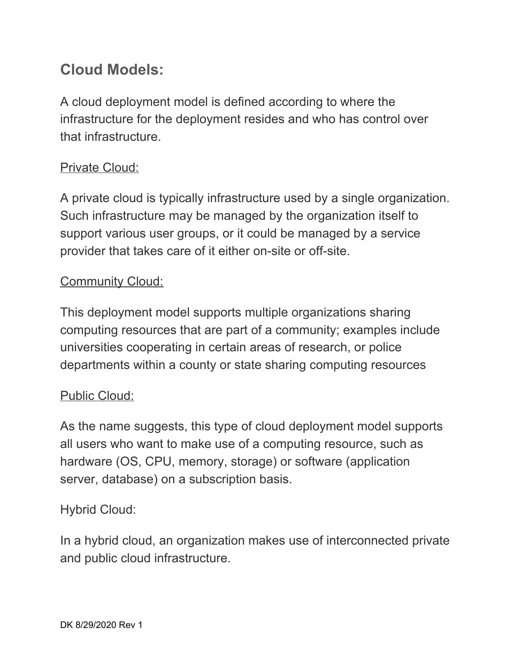## **Cloud Models:**

A cloud deployment model is defined according to where the infrastructure for the deployment resides and who has control over that infrastructure.

### Private Cloud:

A private cloud is typically infrastructure used by a single organization. Such infrastructure may be managed by the organization itself to support various user groups, or it could be managed by a service provider that takes care of it either on-site or off-site.

### Community Cloud:

This deployment model supports multiple organizations sharing computing resources that are part of a community; examples include universities cooperating in certain areas of research, or police departments within a county or state sharing computing resources

### Public Cloud:

As the name suggests, this type of cloud deployment model supports all users who want to make use of a computing resource, such as hardware (OS, CPU, memory, storage) or software (application server, database) on a subscription basis.

### Hybrid Cloud:

In a hybrid cloud, an organization makes use of interconnected private and public cloud infrastructure.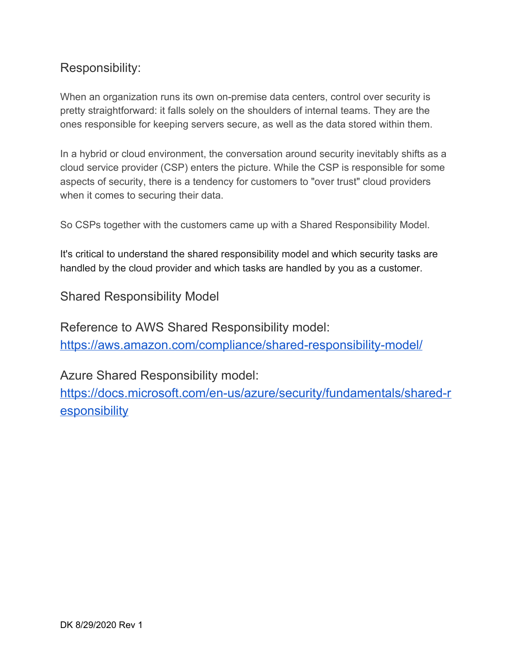### Responsibility:

When an organization runs its own on-premise data centers, control over security is pretty straightforward: it falls solely on the shoulders of internal teams. They are the ones responsible for keeping servers secure, as well as the data stored within them.

In a hybrid or cloud environment, the conversation around security inevitably shifts as a cloud service provider (CSP) enters the picture. While the CSP is responsible for some aspects of security, there is a tendency for customers to "over trust" cloud providers when it comes to securing their data.

So CSPs together with the customers came up with a Shared Responsibility Model.

It's critical to understand the shared responsibility model and which security tasks are handled by the cloud provider and which tasks are handled by you as a customer.

Shared Responsibility Model

Reference to AWS Shared Responsibility model: <https://aws.amazon.com/compliance/shared-responsibility-model/>

Azure Shared Responsibility model:

[https://docs.microsoft.com/en-us/azure/security/fundamentals/shared-r](https://docs.microsoft.com/en-us/azure/security/fundamentals/shared-responsibility) **[esponsibility](https://docs.microsoft.com/en-us/azure/security/fundamentals/shared-responsibility)**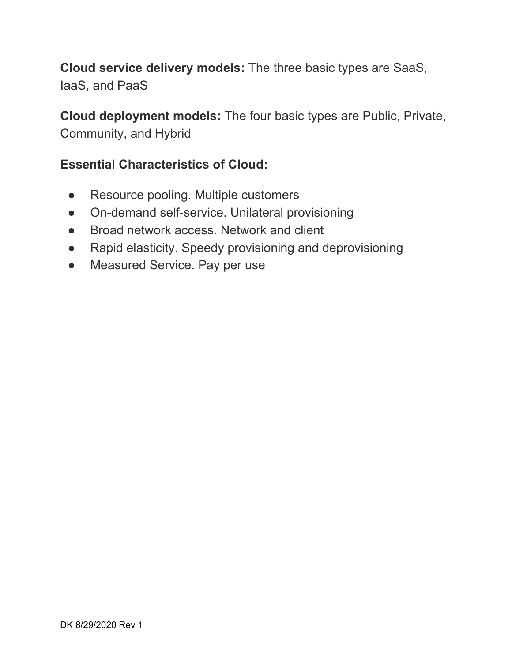**Cloud service delivery models:** The three basic types are SaaS, IaaS, and PaaS

**Cloud deployment models:** The four basic types are Public, Private, Community, and Hybrid

#### **Essential Characteristics of Cloud:**

- Resource pooling. Multiple customers
- On-demand self-service. Unilateral provisioning
- Broad network access. Network and client
- Rapid elasticity. Speedy provisioning and deprovisioning
- Measured Service. Pay per use